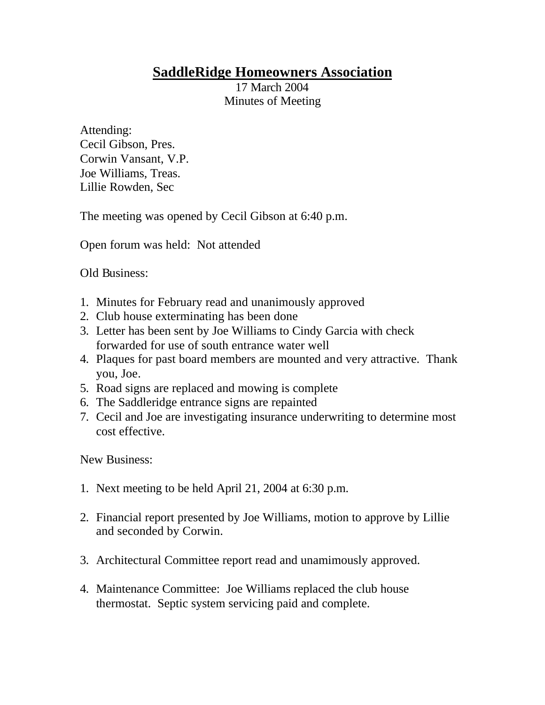## **SaddleRidge Homeowners Association**

17 March 2004 Minutes of Meeting

Attending: Cecil Gibson, Pres. Corwin Vansant, V.P. Joe Williams, Treas. Lillie Rowden, Sec

The meeting was opened by Cecil Gibson at 6:40 p.m.

Open forum was held: Not attended

Old Business:

- 1. Minutes for February read and unanimously approved
- 2. Club house exterminating has been done
- 3. Letter has been sent by Joe Williams to Cindy Garcia with check forwarded for use of south entrance water well
- 4. Plaques for past board members are mounted and very attractive. Thank you, Joe.
- 5. Road signs are replaced and mowing is complete
- 6. The Saddleridge entrance signs are repainted
- 7. Cecil and Joe are investigating insurance underwriting to determine most cost effective.

New Business:

- 1. Next meeting to be held April 21, 2004 at 6:30 p.m.
- 2. Financial report presented by Joe Williams, motion to approve by Lillie and seconded by Corwin.
- 3. Architectural Committee report read and unamimously approved.
- 4. Maintenance Committee: Joe Williams replaced the club house thermostat. Septic system servicing paid and complete.